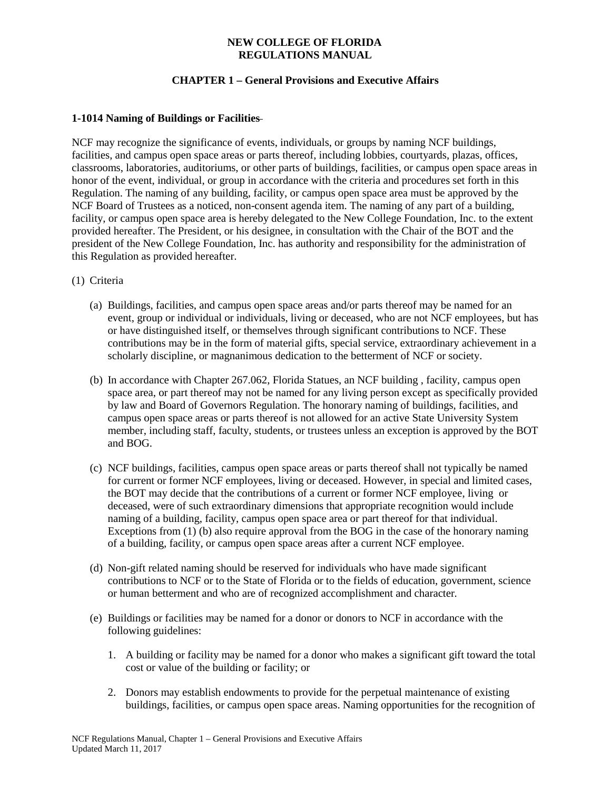## **NEW COLLEGE OF FLORIDA REGULATIONS MANUAL**

# **CHAPTER 1 – General Provisions and Executive Affairs**

## **1-1014 Naming of Buildings or Facilities**

NCF may recognize the significance of events, individuals, or groups by naming NCF buildings, facilities, and campus open space areas or parts thereof, including lobbies, courtyards, plazas, offices, classrooms, laboratories, auditoriums, or other parts of buildings, facilities, or campus open space areas in honor of the event, individual, or group in accordance with the criteria and procedures set forth in this Regulation. The naming of any building, facility, or campus open space area must be approved by the NCF Board of Trustees as a noticed, non-consent agenda item. The naming of any part of a building, facility, or campus open space area is hereby delegated to the New College Foundation, Inc. to the extent provided hereafter. The President, or his designee, in consultation with the Chair of the BOT and the president of the New College Foundation, Inc. has authority and responsibility for the administration of this Regulation as provided hereafter.

- (1) Criteria
	- (a) Buildings, facilities, and campus open space areas and/or parts thereof may be named for an event, group or individual or individuals, living or deceased, who are not NCF employees, but has or have distinguished itself, or themselves through significant contributions to NCF. These contributions may be in the form of material gifts, special service, extraordinary achievement in a scholarly discipline, or magnanimous dedication to the betterment of NCF or society.
	- (b) In accordance with Chapter 267.062, Florida Statues, an NCF building , facility, campus open space area, or part thereof may not be named for any living person except as specifically provided by law and Board of Governors Regulation. The honorary naming of buildings, facilities, and campus open space areas or parts thereof is not allowed for an active State University System member, including staff, faculty, students, or trustees unless an exception is approved by the BOT and BOG.
	- (c) NCF buildings, facilities, campus open space areas or parts thereof shall not typically be named for current or former NCF employees, living or deceased. However, in special and limited cases, the BOT may decide that the contributions of a current or former NCF employee, living or deceased, were of such extraordinary dimensions that appropriate recognition would include naming of a building, facility, campus open space area or part thereof for that individual. Exceptions from (1) (b) also require approval from the BOG in the case of the honorary naming of a building, facility, or campus open space areas after a current NCF employee.
	- (d) Non-gift related naming should be reserved for individuals who have made significant contributions to NCF or to the State of Florida or to the fields of education, government, science or human betterment and who are of recognized accomplishment and character*.*
	- (e) Buildings or facilities may be named for a donor or donors to NCF in accordance with the following guidelines:
		- 1. A building or facility may be named for a donor who makes a significant gift toward the total cost or value of the building or facility; or
		- 2. Donors may establish endowments to provide for the perpetual maintenance of existing buildings, facilities, or campus open space areas. Naming opportunities for the recognition of